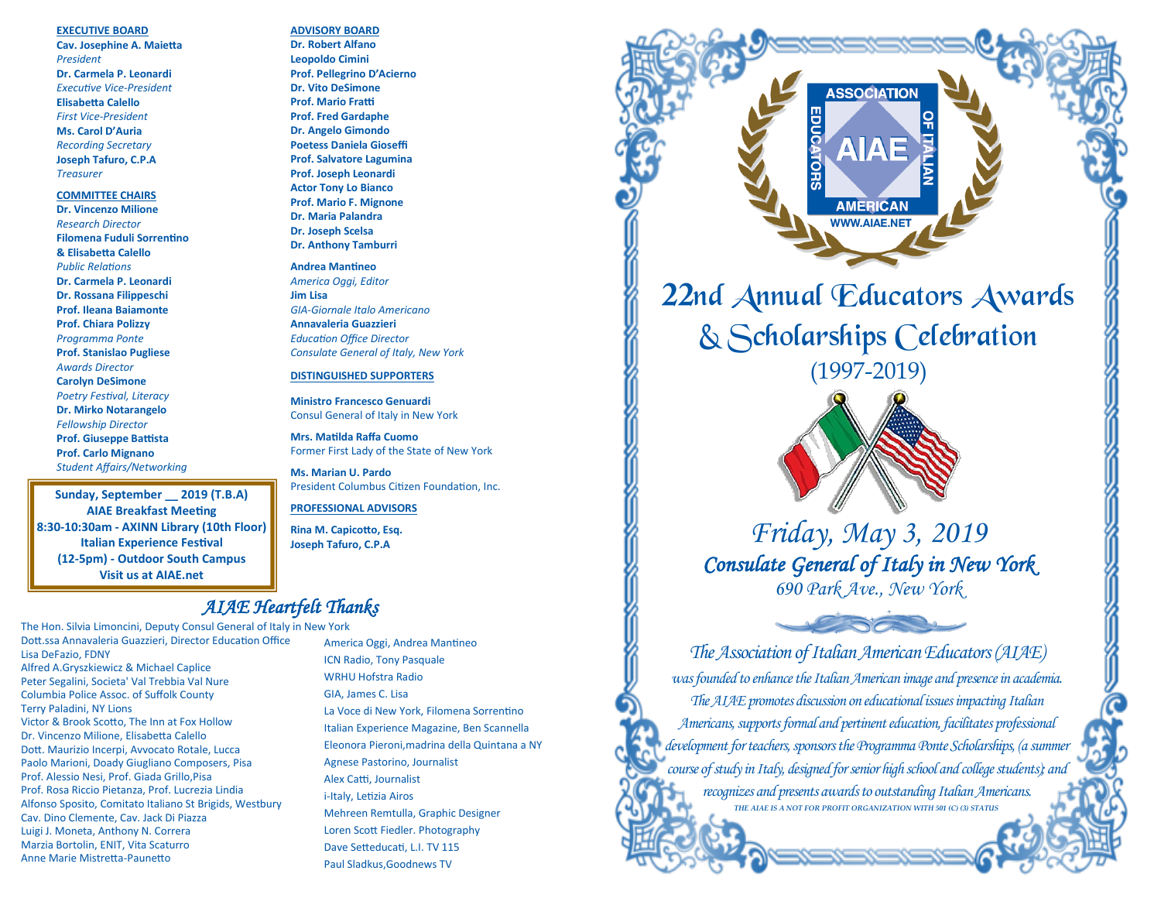#### **EXECUTIVE BOARD**

**Cav. Josephine A. Maietta** *President* **Dr. Carmela P. Leonardi** *Executive Vice-President* **Elisabetta Calello** *First Vice-President*  **Ms. Carol D'Auria** *Recording Secretary*  **Joseph Tafuro, C.P.A** *Treasurer*

#### **COMMITTEE CHAIRS**

**Dr. Vincenzo Milione** *Research Director* **Filomena Fuduli Sorrentino & Elisabetta Calello** *Public Relations* **Dr. Carmela P. Leonardi Dr. Rossana Filippeschi Prof. Ileana Baiamonte Prof. Chiara Polizzy** *Programma Ponte* **Prof. Stanislao Pugliese**  *Awards Director* **Carolyn DeSimone** *Poetry Festival, Literacy* **Dr. Mirko Notarangelo** *Fellowship Director*  **Prof. Giuseppe Battista Prof. Carlo Mignano** *Student Affairs/Networking*

**Sunday, September \_\_ 2019 (T.B.A) AIAE Breakfast Meeting 8:30-10:30am - AXINN Library (10th Floor) Italian Experience Festival (12-5pm) - Outdoor South Campus Visit us at AIAE.net**

# **ADVISORY BOARD**

**Dr. Robert Alfano Leopoldo Cimini Prof. Pellegrino D'Acierno Dr. Vito DeSimone Prof. Mario Fratti Prof. Fred Gardaphe Dr. Angelo Gimondo Poetess Daniela Gioseffi Prof. Salvatore Lagumina Prof. Joseph Leonardi Actor Tony Lo Bianco Prof. Mario F. Mignone Dr. Maria Palandra Dr. Joseph Scelsa Dr. Anthony Tamburri**

#### **Andrea Mantineo**

*America Oggi, Editor* **Jim Lisa** *GIA-Giornale Italo Americano* **Annavaleria Guazzieri** *Education Office Director Consulate General of Italy, New York*

#### **DISTINGUISHED SUPPORTERS**

**Ministro Francesco Genuardi** Consul General of Italy in New York

**Mrs. Matilda Raffa Cuomo** Former First Lady of the State of New York

**Ms. Marian U. Pardo** President Columbus Citizen Foundation, Inc.

**PROFESSIONAL ADVISORS**

**Rina M. Capicotto, Esq. Joseph Tafuro, C.P.A**

## *AIAE Heartfelt Thanks*

The Hon. Silvia Limoncini, Deputy Consul General of Italy in New York Dott.ssa Annavaleria Guazzieri, Director Education Office Lisa DeFazio, FDNY Alfred A.Gryszkiewicz & Michael Caplice Peter Segalini, Societa' Val Trebbia Val Nure Columbia Police Assoc. of Suffolk County Terry Paladini, NY Lions Victor & Brook Scotto, The Inn at Fox Hollow Dr. Vincenzo Milione, Elisabetta Calello Dott. Maurizio Incerpi, Avvocato Rotale, Lucca Paolo Marioni, Doady Giugliano Composers, Pisa Prof. Alessio Nesi, Prof. Giada Grillo,Pisa Prof. Rosa Riccio Pietanza, Prof. Lucrezia Lindia Alfonso Sposito, Comitato Italiano St Brigids, Westbury Cav. Dino Clemente, Cav. Jack Di Piazza Luigi J. Moneta, Anthony N. Correra Marzia Bortolin, ENIT, Vita Scaturro Anne Marie Mistretta-Paunetto

America Oggi, Andrea Mantineo ICN Radio, Tony Pasquale WRHU Hofstra Radio GIA, James C. Lisa La Voce di New York, Filomena Sorrentino Italian Experience Magazine, Ben Scannella Eleonora Pieroni,madrina della Quintana a NY Agnese Pastorino, Journalist Alex Catti, Journalist i-Italy, Letizia Airos Mehreen Remtulla, Graphic Designer Loren Scott Fiedler. Photography Dave Setteducati, L.I. TV 115 Paul Sladkus,Goodnews TV



& Scholarships Celebration (1997-2019)



*Friday, May 3, 2019 Consulate General of Italy in New York 690 Park Ave., New York*

Contract of the Contract of the Contract of the Contract of the Contract of the Contract of the Contract of the Contract of the Contract of the Contract of the Contract of the Contract of the Contract of the Contract of th

*The Association of Italian American Educators (AIAE) was founded to enhance the Italian American image and presence in academia. The AIAE promotes discussion on educational issues impacting Italian Americans, supports formal and pertinent education, facilitates professional development for teachers, sponsors the Programma Ponte Scholarships, (a summer course of study in Italy, designed for senior high school and college students); and recognizes and presents awards to outstanding Italian Americans. THE AIAE IS A NOT FOR PROFIT ORGANIZATION WITH 501 (C) (3) STATUS*